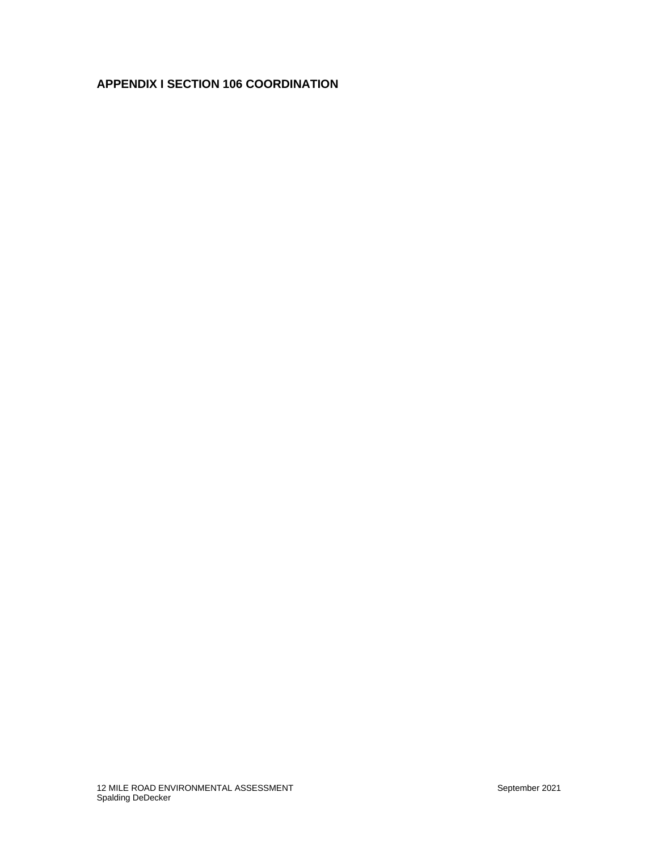## **APPENDIX I SECTION 106 COORDINATION**